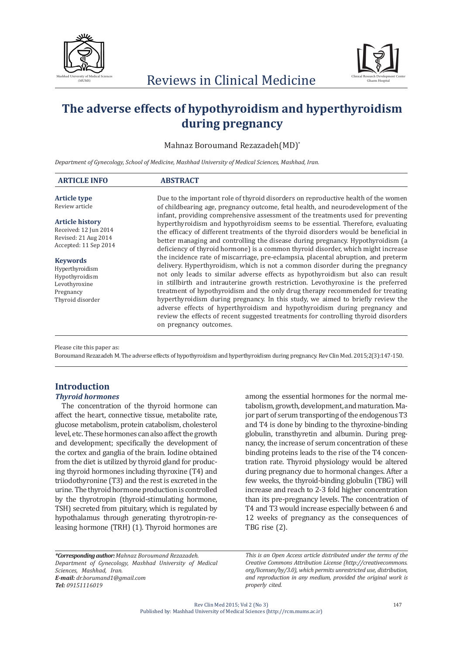



# **The adverse effects of hypothyroidism and hyperthyroidism during pregnancy**

Mahnaz Boroumand Rezazadeh(MD)\*

*Department of Gynecology, School of Medicine, Mashhad University of Medical Sciences, Mashhad, Iran.*

| <b>ARTICLE INFO</b>                                                                                                                                                              | <b>ABSTRACT</b>                                                                                                                                                                                                                                                                |
|----------------------------------------------------------------------------------------------------------------------------------------------------------------------------------|--------------------------------------------------------------------------------------------------------------------------------------------------------------------------------------------------------------------------------------------------------------------------------|
| <b>Article type</b>                                                                                                                                                              | Due to the important role of thyroid disorders on reproductive health of the women                                                                                                                                                                                             |
| Review article<br><b>Article history</b>                                                                                                                                         | of childbearing age, pregnancy outcome, fetal health, and neurodevelopment of the<br>infant, providing comprehensive assessment of the treatments used for preventing                                                                                                          |
| Received: 12 Jun 2014<br>Revised: 21 Aug 2014<br>Accepted: 11 Sep 2014<br><b>Keywords</b><br>Hyperthyroidism<br>Hypothyroidism<br>Levothyroxine<br>Pregnancy<br>Thyroid disorder | hyperthyroidism and hypothyroidism seems to be essential. Therefore, evaluating<br>the efficacy of different treatments of the thyroid disorders would be beneficial in<br>better managing and controlling the disease during pregnancy. Hypothyroidism (a                     |
|                                                                                                                                                                                  | deficiency of thyroid hormone) is a common thyroid disorder, which might increase<br>the incidence rate of miscarriage, pre-eclampsia, placental abruption, and preterm                                                                                                        |
|                                                                                                                                                                                  | delivery. Hyperthyroidism, which is not a common disorder during the pregnancy<br>not only leads to similar adverse effects as hypothyroidism but also can result                                                                                                              |
|                                                                                                                                                                                  | in stillbirth and intrauterine growth restriction. Levothyroxine is the preferred<br>treatment of hypothyroidism and the only drug therapy recommended for treating                                                                                                            |
|                                                                                                                                                                                  | hyperthyroidism during pregnancy. In this study, we aimed to briefly review the<br>adverse effects of hyperthyroidism and hypothyroidism during pregnancy and<br>review the effects of recent suggested treatments for controlling thyroid disorders<br>on pregnancy outcomes. |

Please cite this paper as:

Boroumand Rezazadeh M. The adverse effects of hypothyroidism and hyperthyroidism during pregnancy. Rev Clin Med. 2015;2(3):147-150.

# **Introduction**

## *Thyroid hormones*

The concentration of the thyroid hormone can affect the heart, connective tissue, metabolite rate, glucose metabolism, protein catabolism, cholesterol level, etc. These hormones can also affect the growth and development; specifically the development of the cortex and ganglia of the brain. Iodine obtained from the diet is utilized by thyroid gland for producing thyroid hormones including thyroxine (T4) and triiodothyronine (T3) and the rest is excreted in the urine. The thyroid hormone production is controlled by the thyrotropin (thyroid-stimulating hormone, TSH) secreted from pituitary, which is regulated by hypothalamus through generating thyrotropin-releasing hormone (TRH) (1). Thyroid hormones are

among the essential hormones for the normal metabolism, growth, development, and maturation. Major part of serum transporting of the endogenous T3 and T4 is done by binding to the thyroxine-binding globulin, transthyretin and albumin. During pregnancy, the increase of serum concentration of these binding proteins leads to the rise of the T4 concentration rate. Thyroid physiology would be altered during pregnancy due to hormonal changes. After a few weeks, the thyroid-binding globulin (TBG) will increase and reach to 2-3 fold higher concentration than its pre-pregnancy levels. The concentration of T4 and T3 would increase especially between 6 and 12 weeks of pregnancy as the consequences of TBG rise (2).

*\*Corresponding author: Mahnaz Boroumand Rezazadeh. Department of Gynecology, Mashhad University of Medical Sciences, Mashhad, Iran. E-mail: dr.borumand1@gmail.com Tel: 09151116019*

*This is an Open Access article distributed under the terms of the Creative Commons Attribution License (http://creativecommons. org/licenses/by/3.0), which permits unrestricted use, distribution, and reproduction in any medium, provided the original work is properly cited.*

Rev Clin Med 2015; Vol 2 (No 3) Published by: Mashhad University of Medical Sciences (http://rcm.mums.ac.ir)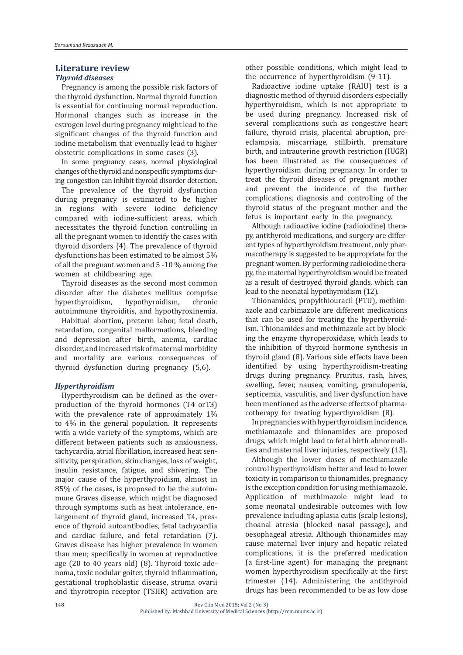#### **Literature review**

#### *Thyroid diseases*

Pregnancy is among the possible risk factors of the thyroid dysfunction. Normal thyroid function is essential for continuing normal reproduction. Hormonal changes such as increase in the estrogen level during pregnancy might lead to the significant changes of the thyroid function and iodine metabolism that eventually lead to higher obstetric complications in some cases (3).

In some pregnancy cases, normal physiological changes of the thyroid and nonspecific symptoms during congestion can inhibit thyroid disorder detection.

The prevalence of the thyroid dysfunction during pregnancy is estimated to be higher in regions with severe iodine deficiency compared with iodine-sufficient areas, which necessitates the thyroid function controlling in all the pregnant women to identify the cases with thyroid disorders (4). The prevalence of thyroid dysfunctions has been estimated to be almost 5% of all the pregnant women and 5 -10 % among the women at childbearing age.

Thyroid diseases as the second most common disorder after the diabetes mellitus comprise<br>hyperthyroidism, hypothyroidism, chronic hyperthyroidism, autoimmune thyroiditis, and hypothyroxinemia.

Habitual abortion, preterm labor, fetal death, retardation, congenital malformations, bleeding and depression after birth, anemia, cardiac disorder, and increased risk of maternal morbidity and mortality are various consequences of thyroid dysfunction during pregnancy (5,6).

#### *Hyperthyroidism*

Hyperthyroidism can be defined as the overproduction of the thyroid hormones (T4 orT3) with the prevalence rate of approximately 1% to 4% in the general population. It represents with a wide variety of the symptoms, which are different between patients such as anxiousness, tachycardia, atrial fibrillation, increased heat sensitivity, perspiration, skin changes, loss of weight, insulin resistance, fatigue, and shivering. The major cause of the hyperthyroidism, almost in 85% of the cases, is proposed to be the autoimmune Graves disease, which might be diagnosed through symptoms such as heat intolerance, enlargement of thyroid gland, increased T4, presence of thyroid autoantibodies, fetal tachycardia and cardiac failure, and fetal retardation (7). Graves disease has higher prevalence in women than men; specifically in women at reproductive age (20 to 40 years old) (8). Thyroid toxic adenoma, toxic nodular goiter, thyroid inflammation, gestational trophoblastic disease, struma ovarii and thyrotropin receptor (TSHR) activation are

other possible conditions, which might lead to the occurrence of hyperthyroidism (9-11).

Radioactive iodine uptake (RAIU) test is a diagnostic method of thyroid disorders especially hyperthyroidism, which is not appropriate to be used during pregnancy. Increased risk of several complications such as congestive heart failure, thyroid crisis, placental abruption, preeclampsia, miscarriage, stillbirth, premature birth, and intrauterine growth restriction (IUGR) has been illustrated as the consequences of hyperthyroidism during pregnancy. In order to treat the thyroid diseases of pregnant mother and prevent the incidence of the further complications, diagnosis and controlling of the thyroid status of the pregnant mother and the fetus is important early in the pregnancy.

Although radioactive iodine (radioiodine) therapy, antithyroid medications, and surgery are different types of hyperthyroidism treatment, only pharmacotherapy is suggested to be appropriate for the pregnant women. By performing radioiodine therapy, the maternal hyperthyroidism would be treated as a result of destroyed thyroid glands, which can lead to the neonatal hypothyroidism (12).

Thionamides, propylthiouracil (PTU), methimazole and carbimazole are different medications that can be used for treating the hyperthyroidism. Thionamides and methimazole act by blocking the enzyme thyroperoxidase, which leads to the inhibition of thyroid hormone synthesis in thyroid gland (8). Various side effects have been identified by using hyperthyroidism-treating drugs during pregnancy. Pruritus, rash, hives, swelling, fever, nausea, vomiting, granulopenia, septicemia, vasculitis, and liver dysfunction have been mentioned as the adverse effects of pharmacotherapy for treating hyperthyroidism (8).

In pregnancies with hyperthyroidism incidence, methiamazole and thionamides are proposed drugs, which might lead to fetal birth abnormalities and maternal liver injuries, respectively (13).

Although the lower doses of methiamazole control hyperthyroidism better and lead to lower toxicity in comparison to thionamides, pregnancy is the exception condition for using methiamazole. Application of methimazole might lead to some neonatal undesirable outcomes with low prevalence including aplasia cutis (scalp lesions), choanal atresia (blocked nasal passage), and oesophageal atresia. Although thionamides may cause maternal liver injury and hepatic related complications, it is the preferred medication (a first-line agent) for managing the pregnant women hyperthyroidism specifically at the first trimester (14). Administering the antithyroid drugs has been recommended to be as low dose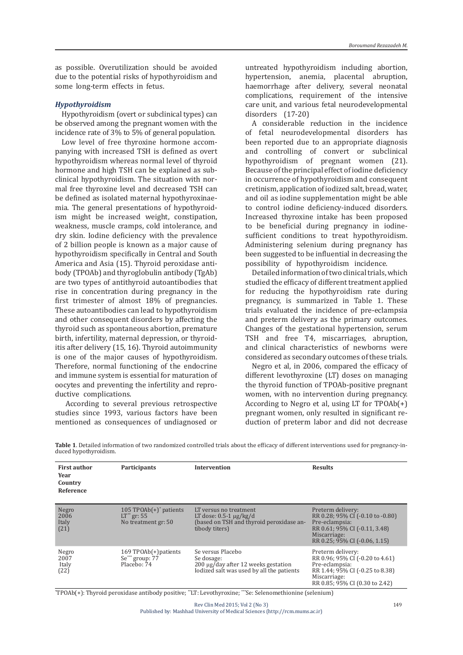as possible. Overutilization should be avoided due to the potential risks of hypothyroidism and some long-term effects in fetus.

#### *Hypothyroidism*

Hypothyroidism (overt or subclinical types) can be observed among the pregnant women with the incidence rate of 3% to 5% of general population.

Low level of free thyroxine hormone accompanying with increased TSH is defined as overt hypothyroidism whereas normal level of thyroid hormone and high TSH can be explained as subclinical hypothyroidism. The situation with normal free thyroxine level and decreased TSH can be defined as isolated maternal hypothyroxinaemia. The general presentations of hypothyroidism might be increased weight, constipation, weakness, muscle cramps, cold intolerance, and dry skin. Iodine deficiency with the prevalence of 2 billion people is known as a major cause of hypothyroidism specifically in Central and South America and Asia (15). Thyroid peroxidase antibody (TPOAb) and thyroglobulin antibody (TgAb) are two types of antithyroid autoantibodies that rise in concentration during pregnancy in the first trimester of almost 18% of pregnancies. These autoantibodies can lead to hypothyroidism and other consequent disorders by affecting the thyroid such as spontaneous abortion, premature birth, infertility, maternal depression, or thyroiditis after delivery (15, 16). Thyroid autoimmunity is one of the major causes of hypothyroidism. Therefore, normal functioning of the endocrine and immune system is essential for maturation of oocytes and preventing the infertility and reproductive complications.

 According to several previous retrospective studies since 1993, various factors have been mentioned as consequences of undiagnosed or untreated hypothyroidism including abortion, hypertension, anemia, placental abruption, haemorrhage after delivery, several neonatal complications, requirement of the intensive care unit, and various fetal neurodevelopmental disorders (17-20)

A considerable reduction in the incidence of fetal neurodevelopmental disorders has been reported due to an appropriate diagnosis and controlling of convert or subclinical hypothyroidism of pregnant women (21). Because of the principal effect of iodine deficiency in occurrence of hypothyroidism and consequent cretinism, application of iodized salt, bread, water, and oil as iodine supplementation might be able to control iodine deficiency-induced disorders. Increased thyroxine intake has been proposed to be beneficial during pregnancy in iodinesufficient conditions to treat hypothyroidism. Administering selenium during pregnancy has been suggested to be influential in decreasing the possibility of hypothyroidism incidence.

Detailed information of two clinical trials, which studied the efficacy of different treatment applied for reducing the hypothyroidism rate during pregnancy, is summarized in Table 1. These trials evaluated the incidence of pre-eclampsia and preterm delivery as the primary outcomes. Changes of the gestational hypertension, serum TSH and free T4, miscarriages, abruption, and clinical characteristics of newborns were considered as secondary outcomes of these trials.

Negro et al, in 2006, compared the efficacy of different levothyroxine (LT) doses on managing the thyroid function of TPOAb-positive pregnant women, with no intervention during pregnancy. According to Negro et al, using LT for TPOAb(+) pregnant women, only resulted in significant reduction of preterm labor and did not decrease

| <b>First author</b><br>Year<br>Country<br>Reference | <b>Participants</b>                                                              | <b>Intervention</b>                                                                                                 | <b>Results</b>                                                                                                                                              |
|-----------------------------------------------------|----------------------------------------------------------------------------------|---------------------------------------------------------------------------------------------------------------------|-------------------------------------------------------------------------------------------------------------------------------------------------------------|
| Negro<br>2006<br>Italy<br>(21)                      | 105 TPOAb $(+)$ <sup>*</sup> patients<br>$LT^{**}$ gr: 55<br>No treatment gr: 50 | LT versus no treatment<br>LT dose: $0.5-1 \mu g/kg/d$<br>(based on TSH and thyroid peroxidase an-<br>tibody titers) | Preterm delivery:<br>RR 0.28; 95% CI (-0.10 to -0.80)<br>Pre-eclampsia:<br>RR 0.61; 95% CI (-0.11, 3.48)<br>Miscarriage:<br>RR 0.25; 95% CI (-0.06, 1.15)   |
| Negro<br>2007<br>Italy<br>(22)                      | 169 TPOAb(+)patients<br>Se*** group: 77<br>Placebo: 74                           | Se versus Placebo<br>Se dosage:<br>200 μg/day after 12 weeks gestation<br>Iodized salt was used by all the patients | Preterm delivery:<br>RR 0.96; 95% CI (-0.20 to 4.61)<br>Pre-eclampsia:<br>RR 1.44; 95% CI (-0.25 to 8.38)<br>Miscarriage:<br>RR 0.85; 95% CI (0.30 to 2.42) |

**Table 1**. Detailed information of two randomized controlled trials about the efficacy of different interventions used for pregnancy-induced hypothyroidism.

\* TPOAb(+): Thyroid peroxidase antibody positive; \*\*LT: Levothyroxine; \*\*\*Se: Selenomethionine (selenium)

Rev Clin Med 2015; Vol 2 (No 3) Published by: Mashhad University of Medical Sciences (http://rcm.mums.ac.ir)